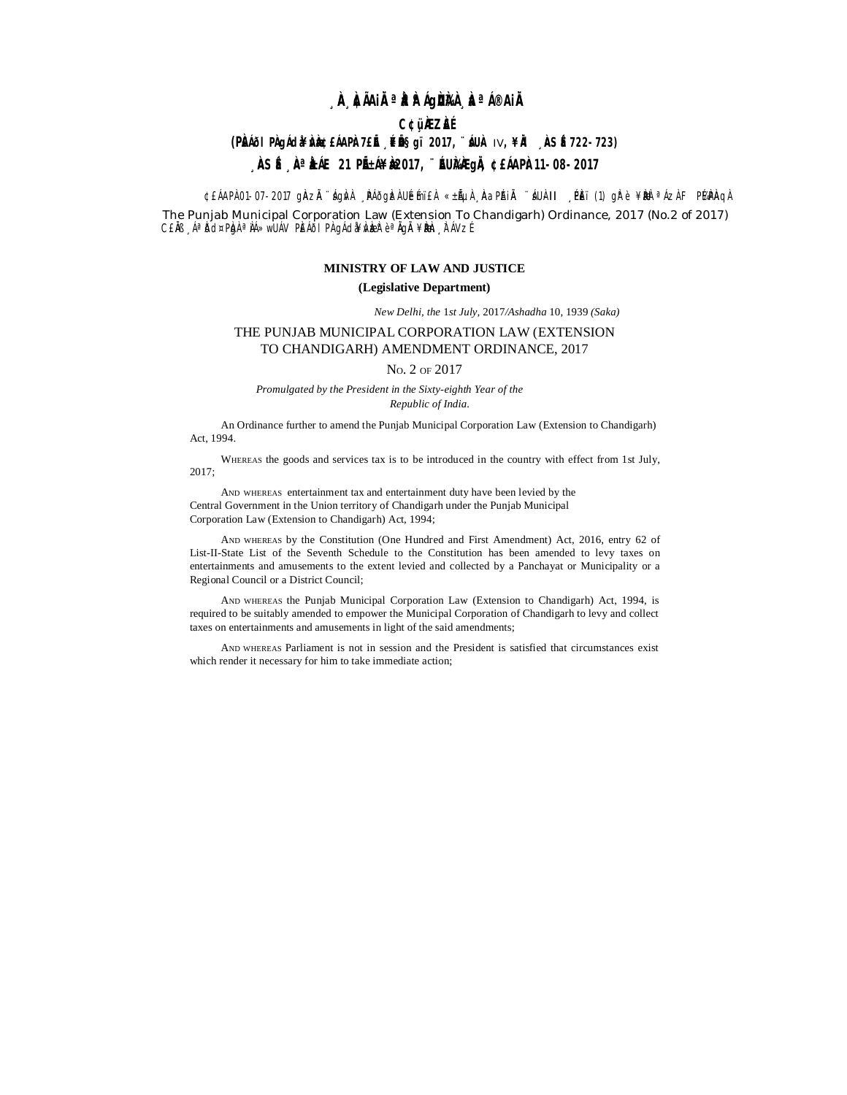## **¸ÀA¸À¢ÃAiÀÄ ªÀåªÀºÁgÀUÀ¼À ¸ÀaªÁ®AiÀÄ**

## **C¢ü¸ÀÆZÀ£É**

### **(PÀÁÕI PÀgÁda¥ÀÀ)@£ÁAPÀ7£Ě ¸Éɧgï 2017, ¨ÁUÀ IV, ¥À ¸ÀSÉ722-723)**

# <sub>→</sub>ÀSÉ ,ÀªÀÁE 21 PIÉ£Á¥À2017, ¨ÉUÀÀAGIÀ, ¢£ÁAPÀ11-08-2017

¢£ÁAPÀ 01-07-2017 gÀAzĂ `ágÀvÀ ¸ÀPÁðgÀzÀ UÉemï£À «±ÁµÀ ¸ÀAaPÁIĂ `áUÀ-II ¸ÈPÈï (1) gk°è ¥Àbè ªÁzÀ FPI4APÀqÀ

The Punjab Municipal Corporation Law (Extension To Chandigarh) Ordinance, 2017 (No.2 of 2017) C£ÀB ŪÀdd¤PÀgÀ ªÀÁ»wUÁV PÈÁðI PÀ gÁdà¥Àv æz è ªÀgÀ ¥Àæn, ÀTÁVzÉ

## **MINISTRY OF LAW AND JUSTICE**

#### **(Legislative Department)**

*New Delhi, the* 1*st July,* 2017*/Ashadha* 10, 1939 *(Saka)*

### THE PUNJAB MUNICIPAL CORPORATION LAW (EXTENSION TO CHANDIGARH) AMENDMENT ORDINANCE, 2017

NO. 2 OF 2017

*Promulgated by the President in the Sixty-eighth Year of the Republic of India.*

An Ordinance further to amend the Punjab Municipal Corporation Law (Extension to Chandigarh) Act, 1994.

WHEREAS the goods and services tax is to be introduced in the country with effect from 1st July, 2017;

AND WHEREAS entertainment tax and entertainment duty have been levied by the Central Government in the Union territory of Chandigarh under the Punjab Municipal Corporation Law (Extension to Chandigarh) Act, 1994;

AND WHEREAS by the Constitution (One Hundred and First Amendment) Act, 2016, entry 62 of List-II-State List of the Seventh Schedule to the Constitution has been amended to levy taxes on entertainments and amusements to the extent levied and collected by a Panchayat or Municipality or a Regional Council or a District Council;

AND WHEREAS the Punjab Municipal Corporation Law (Extension to Chandigarh) Act, 1994, is required to be suitably amended to empower the Municipal Corporation of Chandigarh to levy and collect taxes on entertainments and amusements in light of the said amendments;

AND WHEREAS Parliament is not in session and the President is satisfied that circumstances exist which render it necessary for him to take immediate action;